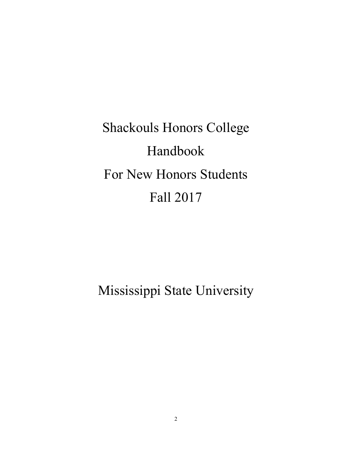Shackouls Honors College Handbook For New Honors Students Fall 2017

Mississippi State University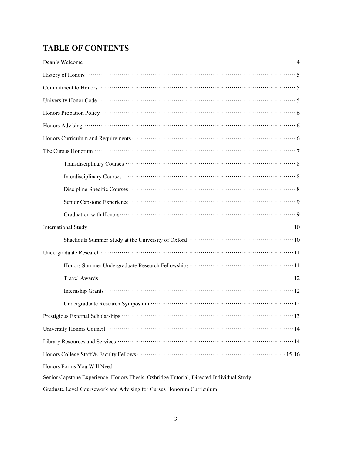# **TABLE OF CONTENTS**

| History of Honors <b>Finance Act and SET Act and SET Act and SET Act and SET Act and SET Act and SET Act and SET Act and SET Act and SET Act and SET Act and SET Act and SET Act and SET Act and SET Act and SET Act and SET Act</b> |
|--------------------------------------------------------------------------------------------------------------------------------------------------------------------------------------------------------------------------------------|
|                                                                                                                                                                                                                                      |
|                                                                                                                                                                                                                                      |
|                                                                                                                                                                                                                                      |
|                                                                                                                                                                                                                                      |
| Honors Curriculum and Requirements <b>COVERTING TO A REGISTER 1999</b> (6)                                                                                                                                                           |
|                                                                                                                                                                                                                                      |
| Transdisciplinary Courses <b>COULTER 1999</b> COURSE 1999 COURSE 1999 COURSE 1999 COURSE 1999 COURSE 1999 COURSE 1999 COURSE 1999 COURSE 1999 COURSE 1999 COURSE 1999 COURSE 1999 COURSE 1999 COURSE 1999 COURSE 1999 COURSE 1999 C  |
|                                                                                                                                                                                                                                      |
|                                                                                                                                                                                                                                      |
|                                                                                                                                                                                                                                      |
|                                                                                                                                                                                                                                      |
|                                                                                                                                                                                                                                      |
| Shackouls Summer Study at the University of Oxford <b>COMEC 10</b> 10                                                                                                                                                                |
|                                                                                                                                                                                                                                      |
|                                                                                                                                                                                                                                      |
| Travel Awards $\cdots$ and $\cdots$ are $\cdots$ and $\cdots$                                                                                                                                                                        |
|                                                                                                                                                                                                                                      |
|                                                                                                                                                                                                                                      |
|                                                                                                                                                                                                                                      |
| University Honors Council <b>Council Council Council Council Council Council Council Council Council Council Council Council Council Council Council Council Council Council Council Counc</b>                                       |
|                                                                                                                                                                                                                                      |
|                                                                                                                                                                                                                                      |
| Honors Forms You Will Need:                                                                                                                                                                                                          |
| Senior Capstone Experience, Honors Thesis, Oxbridge Tutorial, Directed Individual Study,                                                                                                                                             |
| Graduate Level Coursework and Advising for Cursus Honorum Curriculum                                                                                                                                                                 |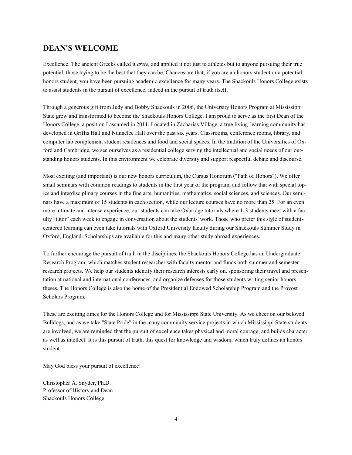### **DEAN'S WELCOME**

Excellence. The ancient Greeks called it *arete*, and applied it not just to athletes but to anyone pursuing their true potential, those trying to be the best that they can be. Chances are that, if you are an honors student or a potential honors student, you have been pursuing academic excellence for many years. The Shackouls Honors College exists to assist students in the pursuit of excellence, indeed in the pursuit of truth itself.

Through a generous gift from Judy and Bobby Shackouls in 2006, the University Honors Program at Mississippi State grew and transformed to become the Shackouls Honors College. I am proud to serve as the first Dean of the Honors College, a position I assumed in 2011. Located in Zacharias Village, a true living-learning community has developed in Griffis Hall and Nunnelee Hall over the past six years. Classrooms, conference rooms, library, and computer lab complement student residences and food and social spaces. In the tradition of the Universities of Oxford and Cambridge, we see ourselves as a residential college serving the intellectual and social needs of our outstanding honors students. In this environment we celebrate diversity and support respectful debate and discourse.

Most exciting (and important) is our new honors curriculum, the Cursus Honorum ("Path of Honors"). We offer small seminars with common readings to students in the first year of the program, and follow that with special topics and interdisciplinary courses in the fine arts, humanities, mathematics, social sciences, and sciences. Our seminars have a maximum of 15 students in each section, while our lecture courses have no more than 25. For an even more intimate and intense experience, our students can take Oxbridge tutorials where 1-3 students meet with a faculty "tutor" each week to engage in conversation about the students' work. Those who prefer this style of studentcentered learning can even take tutorials with Oxford University faculty during our Shackouls Summer Study in Oxford, England. Scholarships are available for this and many other study abroad experiences.

To further encourage the pursuit of truth in the disciplines, the Shackouls Honors College has an Undergraduate Research Program, which matches student researcher with faculty mentor and funds both summer and semester research projects. We help our students identify their research interests early on, sponsoring their travel and presentation at national and international conferences, and organize defenses for those students writing senior honors theses. The Honors College is also the home of the Presidential Endowed Scholarship Program and the Provost Scholars Program.

These are exciting times for the Honors College and for Mississippi State University. As we cheer on our beloved Bulldogs, and as we take "State Pride" in the many community service projects in which Mississippi State students are involved, we are reminded that the pursuit of excellence takes physical and moral courage, and builds character as well as intellect. It is this pursuit of truth, this quest for knowledge and wisdom, which truly defines an honors student.

May God bless your pursuit of excellence!

Christopher A. Snyder, Ph.D. Professor of History and Dean Shackouls Honors College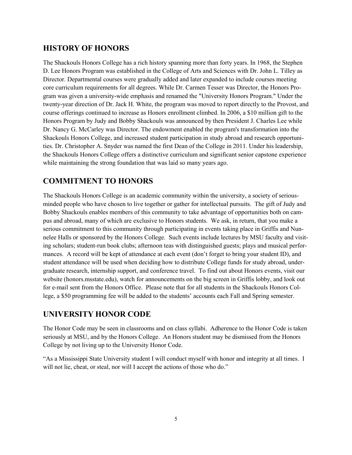# **HISTORY OF HONORS**

The Shackouls Honors College has a rich history spanning more than forty years. In 1968, the Stephen D. Lee Honors Program was established in the College of Arts and Sciences with Dr. John L. Tilley as Director. Departmental courses were gradually added and later expanded to include courses meeting core curriculum requirements for all degrees. While Dr. Carmen Tesser was Director, the Honors Program was given a university-wide emphasis and renamed the "University Honors Program." Under the twenty-year direction of Dr. Jack H. White, the program was moved to report directly to the Provost, and course offerings continued to increase as Honors enrollment climbed. In 2006, a \$10 million gift to the Honors Program by Judy and Bobby Shackouls was announced by then President J. Charles Lee while Dr. Nancy G. McCarley was Director. The endowment enabled the program's transformation into the Shackouls Honors College, and increased student participation in study abroad and research opportunities. Dr. Christopher A. Snyder was named the first Dean of the College in 2011. Under his leadership, the Shackouls Honors College offers a distinctive curriculum and significant senior capstone experience while maintaining the strong foundation that was laid so many years ago.

# **COMMITMENT TO HONORS**

The Shackouls Honors College is an academic community within the university, a society of seriousminded people who have chosen to live together or gather for intellectual pursuits. The gift of Judy and Bobby Shackouls enables members of this community to take advantage of opportunities both on campus and abroad, many of which are exclusive to Honors students. We ask, in return, that you make a serious commitment to this community through participating in events taking place in Griffis and Nunnelee Halls or sponsored by the Honors College. Such events include lectures by MSU faculty and visiting scholars; student-run book clubs; afternoon teas with distinguished guests; plays and musical performances. A record will be kept of attendance at each event (don't forget to bring your student ID), and student attendance will be used when deciding how to distribute College funds for study abroad, undergraduate research, internship support, and conference travel. To find out about Honors events, visit our website (honors.msstate.edu), watch for announcements on the big screen in Griffis lobby, and look out for e-mail sent from the Honors Office. Please note that for all students in the Shackouls Honors College, a \$50 programming fee will be added to the students' accounts each Fall and Spring semester.

## **UNIVERSITY HONOR CODE**

The Honor Code may be seen in classrooms and on class syllabi. Adherence to the Honor Code is taken seriously at MSU, and by the Honors College. An Honors student may be dismissed from the Honors College by not living up to the University Honor Code.

"As a Mississippi State University student I will conduct myself with honor and integrity at all times. I will not lie, cheat, or steal, nor will I accept the actions of those who do."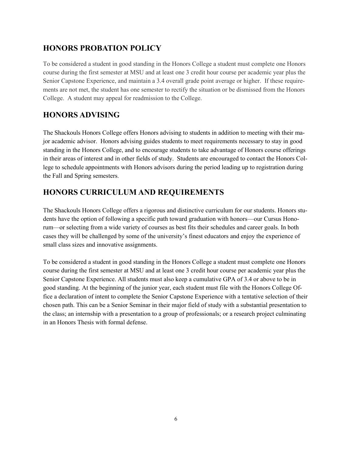# **HONORS PROBATION POLICY**

To be considered a student in good standing in the Honors College a student must complete one Honors course during the first semester at MSU and at least one 3 credit hour course per academic year plus the Senior Capstone Experience, and maintain a 3.4 overall grade point average or higher. If these requirements are not met, the student has one semester to rectify the situation or be dismissed from the Honors College. A student may appeal for readmission to the College.

# **HONORS ADVISING**

The Shackouls Honors College offers Honors advising to students in addition to meeting with their major academic advisor. Honors advising guides students to meet requirements necessary to stay in good standing in the Honors College, and to encourage students to take advantage of Honors course offerings in their areas of interest and in other fields of study. Students are encouraged to contact the Honors College to schedule appointments with Honors advisors during the period leading up to registration during the Fall and Spring semesters.

# **HONORS CURRICULUM AND REQUIREMENTS**

The Shackouls Honors College offers a rigorous and distinctive curriculum for our students. Honors students have the option of following a specific path toward graduation with honors—our Cursus Honorum—or selecting from a wide variety of courses as best fits their schedules and career goals. In both cases they will be challenged by some of the university's finest educators and enjoy the experience of small class sizes and innovative assignments.

To be considered a student in good standing in the Honors College a student must complete one Honors course during the first semester at MSU and at least one 3 credit hour course per academic year plus the Senior Capstone Experience. All students must also keep a cumulative GPA of 3.4 or above to be in good standing. At the beginning of the junior year, each student must file with the Honors College Office a declaration of intent to complete the Senior Capstone Experience with a tentative selection of their chosen path. This can be a Senior Seminar in their major field of study with a substantial presentation to the class; an internship with a presentation to a group of professionals; or a research project culminating in an Honors Thesis with formal defense.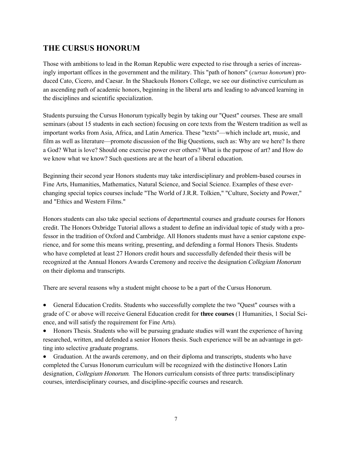# **THE CURSUS HONORUM**

Those with ambitions to lead in the Roman Republic were expected to rise through a series of increasingly important offices in the government and the military. This "path of honors" (*cursus honorum*) produced Cato, Cicero, and Caesar. In the Shackouls Honors College, we see our distinctive curriculum as an ascending path of academic honors, beginning in the liberal arts and leading to advanced learning in the disciplines and scientific specialization.

Students pursuing the Cursus Honorum typically begin by taking our "Quest" courses. These are small seminars (about 15 students in each section) focusing on core texts from the Western tradition as well as important works from Asia, Africa, and Latin America. These "texts"—which include art, music, and film as well as literature—promote discussion of the Big Questions, such as: Why are we here? Is there a God? What is love? Should one exercise power over others? What is the purpose of art? and How do we know what we know? Such questions are at the heart of a liberal education.

Beginning their second year Honors students may take interdisciplinary and problem-based courses in Fine Arts, Humanities, Mathematics, Natural Science, and Social Science. Examples of these everchanging special topics courses include "The World of J.R.R. Tolkien," "Culture, Society and Power," and "Ethics and Western Films."

Honors students can also take special sections of departmental courses and graduate courses for Honors credit. The Honors Oxbridge Tutorial allows a student to define an individual topic of study with a professor in the tradition of Oxford and Cambridge. All Honors students must have a senior capstone experience, and for some this means writing, presenting, and defending a formal Honors Thesis. Students who have completed at least 27 Honors credit hours and successfully defended their thesis will be recognized at the Annual Honors Awards Ceremony and receive the designation Collegium Honorum on their diploma and transcripts.

There are several reasons why a student might choose to be a part of the Cursus Honorum.

• General Education Credits. Students who successfully complete the two "Quest" courses with a grade of C or above will receive General Education credit for **three courses** (1 Humanities, 1 Social Science, and will satisfy the requirement for Fine Arts).

• Honors Thesis. Students who will be pursuing graduate studies will want the experience of having researched, written, and defended a senior Honors thesis. Such experience will be an advantage in getting into selective graduate programs.

• Graduation. At the awards ceremony, and on their diploma and transcripts, students who have completed the Cursus Honorum curriculum will be recognized with the distinctive Honors Latin designation, *Collegium Honorum*. The Honors curriculum consists of three parts: transdisciplinary courses, interdisciplinary courses, and discipline-specific courses and research.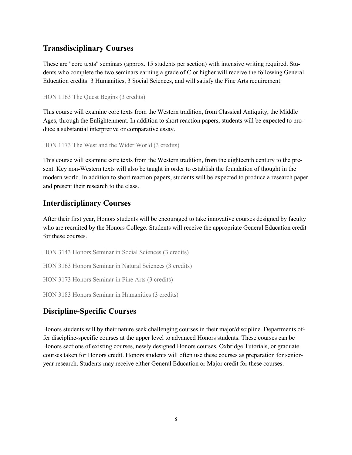### **Transdisciplinary Courses**

These are "core texts" seminars (approx. 15 students per section) with intensive writing required. Students who complete the two seminars earning a grade of C or higher will receive the following General Education credits: 3 Humanities, 3 Social Sciences, and will satisfy the Fine Arts requirement.

```
HON 1163 The Quest Begins (3 credits)
```
This course will examine core texts from the Western tradition, from Classical Antiquity, the Middle Ages, through the Enlightenment. In addition to short reaction papers, students will be expected to produce a substantial interpretive or comparative essay.

HON 1173 The West and the Wider World (3 credits)

This course will examine core texts from the Western tradition, from the eighteenth century to the present. Key non-Western texts will also be taught in order to establish the foundation of thought in the modern world. In addition to short reaction papers, students will be expected to produce a research paper and present their research to the class.

# **Interdisciplinary Courses**

After their first year, Honors students will be encouraged to take innovative courses designed by faculty who are recruited by the Honors College. Students will receive the appropriate General Education credit for these courses.

HON 3143 Honors Seminar in Social Sciences (3 credits) HON 3163 Honors Seminar in Natural Sciences (3 credits)

HON 3173 Honors Seminar in Fine Arts (3 credits)

HON 3183 Honors Seminar in Humanities (3 credits)

# **Discipline-Specific Courses**

Honors students will by their nature seek challenging courses in their major/discipline. Departments offer discipline-specific courses at the upper level to advanced Honors students. These courses can be Honors sections of existing courses, newly designed Honors courses, Oxbridge Tutorials, or graduate courses taken for Honors credit. Honors students will often use these courses as preparation for senioryear research. Students may receive either General Education or Major credit for these courses.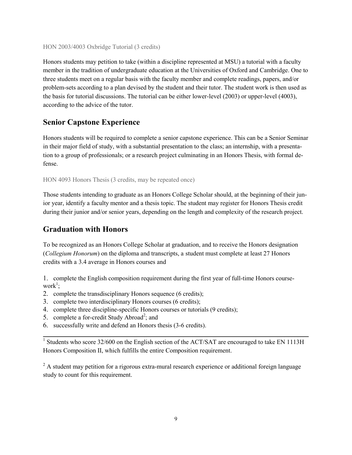#### HON 2003/4003 Oxbridge Tutorial (3 credits)

Honors students may petition to take (within a discipline represented at MSU) a tutorial with a faculty member in the tradition of undergraduate education at the Universities of Oxford and Cambridge. One to three students meet on a regular basis with the faculty member and complete readings, papers, and/or problem-sets according to a plan devised by the student and their tutor. The student work is then used as the basis for tutorial discussions. The tutorial can be either lower-level (2003) or upper-level (4003), according to the advice of the tutor.

### **Senior Capstone Experience**

Honors students will be required to complete a senior capstone experience. This can be a Senior Seminar in their major field of study, with a substantial presentation to the class; an internship, with a presentation to a group of professionals; or a research project culminating in an Honors Thesis, with formal defense.

HON 4093 Honors Thesis (3 credits, may be repeated once)

Those students intending to graduate as an Honors College Scholar should, at the beginning of their junior year, identify a faculty mentor and a thesis topic. The student may register for Honors Thesis credit during their junior and/or senior years, depending on the length and complexity of the research project.

### **Graduation with Honors**

To be recognized as an Honors College Scholar at graduation, and to receive the Honors designation (*Collegium Honorum*) on the diploma and transcripts, a student must complete at least 27 Honors credits with a 3.4 average in Honors courses and

1. complete the English composition requirement during the first year of full-time Honors course $work^1$ ;

- 2. complete the transdisciplinary Honors sequence (6 credits);
- 3. complete two interdisciplinary Honors courses (6 credits);
- 4. complete three discipline-specific Honors courses or tutorials (9 credits);
- 5. complete a for-credit Study Abroad<sup>2</sup>; and
- 6. successfully write and defend an Honors thesis (3-6 credits).

<sup>1</sup> Students who score 32/600 on the English section of the ACT/SAT are encouraged to take EN 1113H Honors Composition II, which fulfills the entire Composition requirement.

 $^{2}$  A student may petition for a rigorous extra-mural research experience or additional foreign language study to count for this requirement.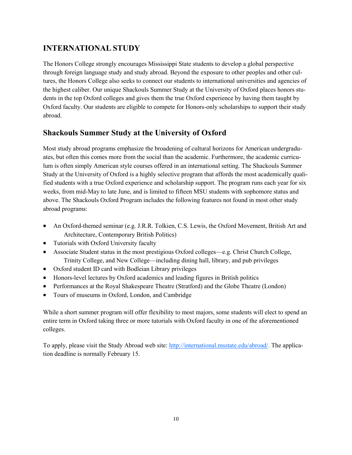# **INTERNATIONAL STUDY**

The Honors College strongly encourages Mississippi State students to develop a global perspective through foreign language study and study abroad. Beyond the exposure to other peoples and other cultures, the Honors College also seeks to connect our students to international universities and agencies of the highest caliber. Our unique Shackouls Summer Study at the University of Oxford places honors students in the top Oxford colleges and gives them the true Oxford experience by having them taught by Oxford faculty. Our students are eligible to compete for Honors-only scholarships to support their study abroad.

# **Shackouls Summer Study at the University of Oxford**

Most study abroad programs emphasize the broadening of cultural horizons for American undergraduates, but often this comes more from the social than the academic. Furthermore, the academic curriculum is often simply American style courses offered in an international setting. The Shackouls Summer Study at the University of Oxford is a highly selective program that affords the most academically qualified students with a true Oxford experience and scholarship support. The program runs each year for six weeks, from mid-May to late June, and is limited to fifteen MSU students with sophomore status and above. The Shackouls Oxford Program includes the following features not found in most other study abroad programs:

- An Oxford-themed seminar (e.g. J.R.R. Tolkien, C.S. Lewis, the Oxford Movement, British Art and Architecture, Contemporary British Politics)
- Tutorials with Oxford University faculty
- Associate Student status in the most prestigious Oxford colleges—e.g. Christ Church College, Trinity College, and New College—including dining hall, library, and pub privileges
- Oxford student ID card with Bodleian Library privileges
- Honors-level lectures by Oxford academics and leading figures in British politics
- Performances at the Royal Shakespeare Theatre (Stratford) and the Globe Theatre (London)
- Tours of museums in Oxford, London, and Cambridge

While a short summer program will offer flexibility to most majors, some students will elect to spend an entire term in Oxford taking three or more tutorials with Oxford faculty in one of the aforementioned colleges.

To apply, please visit the Study Abroad web site: [http://international.msstate.edu/abroad/.](https://msstate.studioabroad.com/index.cfm?FuseAction=Programs.ViewProgram&Program_ID=36193) The application deadline is normally February 15.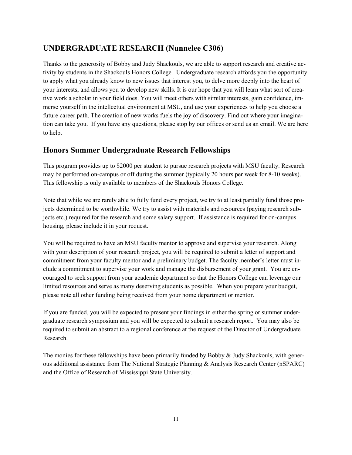# **UNDERGRADUATE RESEARCH (Nunnelee C306)**

Thanks to the generosity of Bobby and Judy Shackouls, we are able to support research and creative activity by students in the Shackouls Honors College. Undergraduate research affords you the opportunity to apply what you already know to new issues that interest you, to delve more deeply into the heart of your interests, and allows you to develop new skills. It is our hope that you will learn what sort of creative work a scholar in your field does. You will meet others with similar interests, gain confidence, immerse yourself in the intellectual environment at MSU, and use your experiences to help you choose a future career path. The creation of new works fuels the joy of discovery. Find out where your imagination can take you. If you have any questions, please stop by our offices or send us an email. We are here to help.

## **Honors Summer Undergraduate Research Fellowships**

This program provides up to \$2000 per student to pursue research projects with MSU faculty. Research may be performed on-campus or off during the summer (typically 20 hours per week for 8-10 weeks). This fellowship is only available to members of the Shackouls Honors College.

Note that while we are rarely able to fully fund every project, we try to at least partially fund those projects determined to be worthwhile. We try to assist with materials and resources (paying research subjects etc.) required for the research and some salary support. If assistance is required for on-campus housing, please include it in your request.

You will be required to have an MSU faculty mentor to approve and supervise your research. Along with your description of your research project, you will be required to submit a letter of support and commitment from your faculty mentor and a preliminary budget. The faculty member's letter must include a commitment to supervise your work and manage the disbursement of your grant. You are encouraged to seek support from your academic department so that the Honors College can leverage our limited resources and serve as many deserving students as possible. When you prepare your budget, please note all other funding being received from your home department or mentor.

If you are funded, you will be expected to present your findings in either the spring or summer undergraduate research symposium and you will be expected to submit a research report. You may also be required to submit an abstract to a regional conference at the request of the Director of Undergraduate Research.

The monies for these fellowships have been primarily funded by Bobby & Judy Shackouls, with generous additional assistance from The National Strategic Planning & Analysis Research Center (nSPARC) and the Office of Research of Mississippi State University.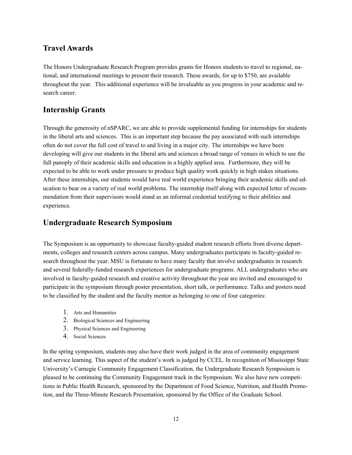## **Travel Awards**

The Honors Undergraduate Research Program provides grants for Honors students to travel to regional, national, and international meetings to present their research. These awards, for up to \$750, are available throughout the year. This additional experience will be invaluable as you progress in your academic and research career.

## **Internship Grants**

Through the generosity of nSPARC, we are able to provide supplemental funding for internships for students in the liberal arts and sciences. This is an important step because the pay associated with such internships often do not cover the full cost of travel to and living in a major city. The internships we have been developing will give our students in the liberal arts and sciences a broad range of venues in which to use the full panoply of their academic skills and education in a highly applied area. Furthermore, they will be expected to be able to work under pressure to produce high quality work quickly in high stakes situations. After these internships, our students would have real world experience bringing their academic skills and education to bear on a variety of real world problems. The internship itself along with expected letter of recommendation from their supervisors would stand as an informal credential testifying to their abilities and experience.

## **Undergraduate Research Symposium**

The Symposium is an opportunity to showcase faculty-guided student research efforts from diverse departments, colleges and research centers across campus. Many undergraduates participate in faculty-guided research throughout the year. MSU is fortunate to have many faculty that involve undergraduates in research and several federally-funded research experiences for undergraduate programs. ALL undergraduates who are involved in faculty-guided research and creative activity throughout the year are invited and encouraged to participate in the symposium through poster presentation, short talk, or performance. Talks and posters need to be classified by the student and the faculty mentor as belonging to one of four categories:

- 1. Arts and Humanities
- 2. Biological Sciences and Engineering
- 3. Physical Sciences and Engineering
- 4. Social Sciences

In the spring symposium, students may also have their work judged in the area of community engagement and service learning. This aspect of the student's work is judged by CCEL. In recognition of Mississippi State University's Carnegie Community Engagement Classification, the Undergraduate Research Symposium is pleased to be continuing the Community Engagement track in the Symposium. We also have new competitions in Public Health Research, sponsored by the Department of Food Science, Nutrition, and Health Promotion, and the Three-Minute Research Presentation, sponsored by the Office of the Graduate School.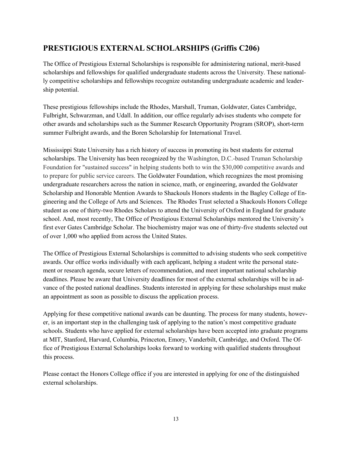# **PRESTIGIOUS EXTERNAL SCHOLARSHIPS (Griffis C206)**

The Office of Prestigious External Scholarships is responsible for administering national, merit-based scholarships and fellowships for qualified undergraduate students across the University. These nationally competitive scholarships and fellowships recognize outstanding undergraduate academic and leadership potential.

These prestigious fellowships include the Rhodes, Marshall, Truman, Goldwater, Gates Cambridge, Fulbright, Schwarzman, and Udall. In addition, our office regularly advises students who compete for other awards and scholarships such as the Summer Research Opportunity Program (SROP), short-term summer Fulbright awards, and the Boren Scholarship for International Travel.

Mississippi State University has a rich history of success in promoting its best students for external scholarships. The University has been recognized by the Washington, D.C.-based Truman Scholarship Foundation for "sustained success" in helping students both to win the \$30,000 competitive awards and to prepare for public service careers. The Goldwater Foundation, which recognizes the most promising undergraduate researchers across the nation in science, math, or engineering, awarded the Goldwater Scholarship and Honorable Mention Awards to Shackouls Honors students in the Bagley College of Engineering and the College of Arts and Sciences. The Rhodes Trust selected a Shackouls Honors College student as one of thirty-two Rhodes Scholars to attend the University of Oxford in England for graduate school. And, most recently, The Office of Prestigious External Scholarships mentored the University's first ever Gates Cambridge Scholar. The biochemistry major was one of thirty-five students selected out of over 1,000 who applied from across the United States.

The Office of Prestigious External Scholarships is committed to advising students who seek competitive awards. Our office works individually with each applicant, helping a student write the personal statement or research agenda, secure letters of recommendation, and meet important national scholarship deadlines. Please be aware that University deadlines for most of the external scholarships will be in advance of the posted national deadlines. Students interested in applying for these scholarships must make an appointment as soon as possible to discuss the application process.

Applying for these competitive national awards can be daunting. The process for many students, however, is an important step in the challenging task of applying to the nation's most competitive graduate schools. Students who have applied for external scholarships have been accepted into graduate programs at MIT, Stanford, Harvard, Columbia, Princeton, Emory, Vanderbilt, Cambridge, and Oxford. The Office of Prestigious External Scholarships looks forward to working with qualified students throughout this process.

Please contact the Honors College office if you are interested in applying for one of the distinguished external scholarships.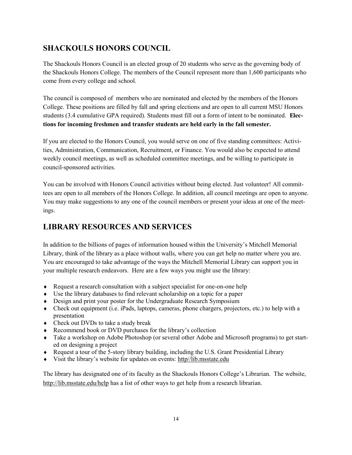# **SHACKOULS HONORS COUNCIL**

The Shackouls Honors Council is an elected group of 20 students who serve as the governing body of the Shackouls Honors College. The members of the Council represent more than 1,600 participants who come from every college and school.

The council is composed of members who are nominated and elected by the members of the Honors College. These positions are filled by fall and spring elections and are open to all current MSU Honors students (3.4 cumulative GPA required). Students must fill out a form of intent to be nominated. **Elections for incoming freshmen and transfer students are held early in the fall semester.**

If you are elected to the Honors Council, you would serve on one of five standing committees: Activities, Administration, Communication, Recruitment, or Finance. You would also be expected to attend weekly council meetings, as well as scheduled committee meetings, and be willing to participate in council-sponsored activities.

You can be involved with Honors Council activities without being elected. Just volunteer! All committees are open to all members of the Honors College. In addition, all council meetings are open to anyone. You may make suggestions to any one of the council members or present your ideas at one of the meetings.

# **LIBRARY RESOURCES AND SERVICES**

In addition to the billions of pages of information housed within the University's Mitchell Memorial Library, think of the library as a place without walls, where you can get help no matter where you are. You are encouraged to take advantage of the ways the Mitchell Memorial Library can support you in your multiple research endeavors. Here are a few ways you might use the library:

- Request a research consultation with a subject specialist for one-on-one help
- Use the library databases to find relevant scholarship on a topic for a paper
- Design and print your poster for the Undergraduate Research Symposium
- $\bullet$  Check out equipment (i.e. iPads, laptops, cameras, phone chargers, projectors, etc.) to help with a presentation
- Check out DVDs to take a study break
- ◆ Recommend book or DVD purchases for the library's collection
- Take a workshop on Adobe Photoshop (or several other Adobe and Microsoft programs) to get started on designing a project
- $\bullet$  Request a tour of the 5-story library building, including the U.S. Grant Presidential Library
- Visit the library's website for updates on events: http//lib.msstate.edu

The library has designated one of its faculty as the Shackouls Honors College's Librarian. The website, http://lib.msstate.edu/help has a list of other ways to get help from a research librarian.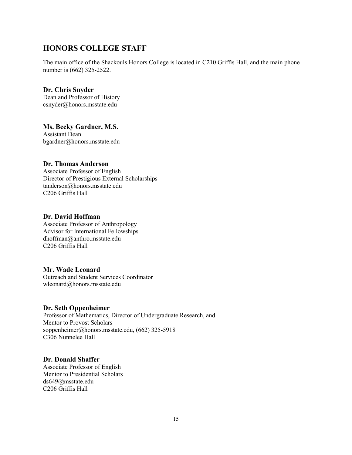## **HONORS COLLEGE STAFF**

The main office of the Shackouls Honors College is located in C210 Griffis Hall, and the main phone number is (662) 325-2522.

**Dr. Chris Snyder** Dean and Professor of History csnyder@honors.msstate.edu

**Ms. Becky Gardner, M.S.** Assistant Dean bgardner@honors.msstate.edu

#### **Dr. Thomas Anderson**

Associate Professor of English Director of Prestigious External Scholarships tanderson@honors.msstate.edu C206 Griffis Hall

#### **Dr. David Hoffman**

Associate Professor of Anthropology Advisor for International Fellowships dhoffman@anthro.msstate.edu C206 Griffis Hall

#### **Mr. Wade Leonard**

Outreach and Student Services Coordinator wleonard@honors.msstate.edu

#### **Dr. Seth Oppenheimer**

Professor of Mathematics, Director of Undergraduate Research, and Mentor to Provost Scholars soppenheimer@honors.msstate.edu, (662) 325-5918 C306 Nunnelee Hall

#### **Dr. Donald Shaffer**

Associate Professor of English Mentor to Presidential Scholars ds649@msstate.edu C206 Griffis Hall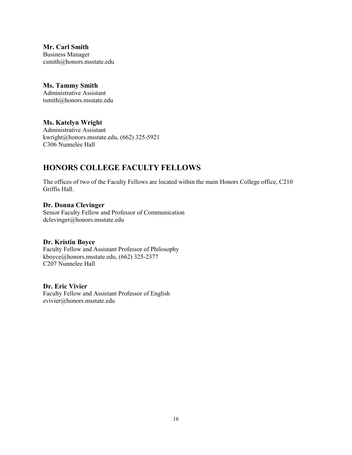**Mr. Carl Smith** Business Manager csmith@honors.msstate.edu

# **Ms. Tammy Smith**

Administrative Assistant tsmith@honors.msstate.edu

### **Ms. Katelyn Wright**

Administrative Assistant kwright@honors.msstate.edu, (662) 325-5921 C306 Nunnelee Hall

## **HONORS COLLEGE FACULTY FELLOWS**

The offices of two of the Faculty Fellows are located within the main Honors College office, C210 Griffis Hall.

#### **Dr. Donna Clevinger**

Senior Faculty Fellow and Professor of Communication dclevinger@honors.msstate.edu

#### **Dr. Kristin Boyce**

Faculty Fellow and Assistant Professor of Philosophy kboyce@honors.msstate.edu, (662) 325-2377 C207 Nunnelee Hall

#### **Dr. Eric Vivier**

Faculty Fellow and Assistant Professor of English evivier@honors.msstate.edu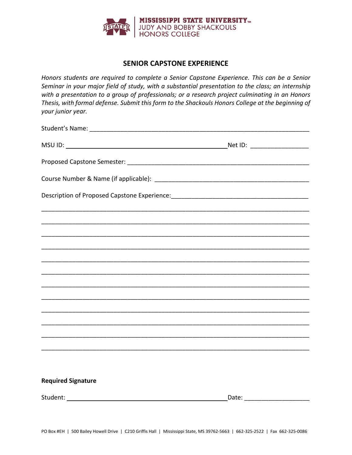

### **SENIOR CAPSTONE EXPERIENCE**

*Honors students are required to complete a Senior Capstone Experience. This can be a Senior Seminar in your major field of study, with a substantial presentation to the class; an internship with a presentation to a group of professionals; or a research project culminating in an Honors Thesis, with formal defense. Submit this form to the Shackouls Honors College at the beginning of your junior year.*

| Description of Proposed Capstone Experience: ___________________________________ |                                                                                  |
|----------------------------------------------------------------------------------|----------------------------------------------------------------------------------|
|                                                                                  |                                                                                  |
|                                                                                  |                                                                                  |
|                                                                                  |                                                                                  |
|                                                                                  |                                                                                  |
|                                                                                  |                                                                                  |
|                                                                                  |                                                                                  |
|                                                                                  |                                                                                  |
|                                                                                  |                                                                                  |
|                                                                                  | ,我们的人们就会在这里的人们,我们的人们就会在这里,我们的人们就会在这里,我们的人们就会在这里,我们的人们就会在这里,我们的人们就会在这里,我们的人们就会在这里 |
|                                                                                  |                                                                                  |
|                                                                                  |                                                                                  |
| <b>Required Signature</b>                                                        |                                                                                  |

Student: Date: \_\_\_\_\_\_\_\_\_\_\_\_\_\_\_\_\_\_\_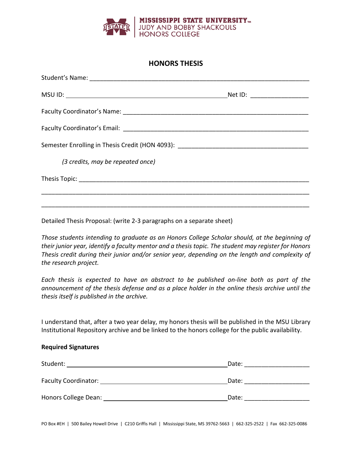

### **HONORS THESIS**

| Semester Enrolling in Thesis Credit (HON 4093): _________________________________ |  |
|-----------------------------------------------------------------------------------|--|
| (3 credits, may be repeated once)                                                 |  |
|                                                                                   |  |
|                                                                                   |  |
|                                                                                   |  |

Detailed Thesis Proposal: (write 2-3 paragraphs on a separate sheet)

*Those students intending to graduate as an Honors College Scholar should, at the beginning of their junior year, identify a faculty mentor and a thesis topic. The student may register for Honors Thesis credit during their junior and/or senior year, depending on the length and complexity of the research project.*

*Each thesis is expected to have an abstract to be published on-line both as part of the announcement of the thesis defense and as a place holder in the online thesis archive until the thesis itself is published in the archive.* 

I understand that, after a two year delay, my honors thesis will be published in the MSU Library Institutional Repository archive and be linked to the honors college for the public availability.

#### **Required Signatures**

| Date: |
|-------|
|       |
| Date: |
|       |
| Date: |
|       |

PO Box #EH | 500 Bailey Howell Drive | C210 Griffis Hall | Mississippi State, MS 39762-5663 | 662-325-2522 | Fax 662-325-0086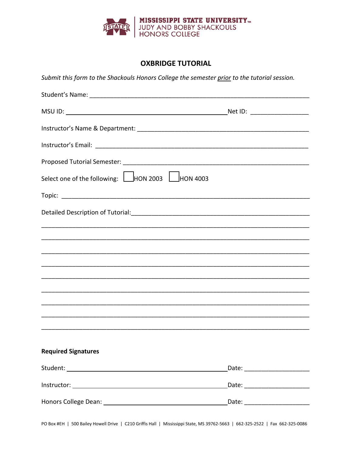

### **OXBRIDGE TUTORIAL**

Submit this form to the Shackouls Honors College the semester prior to the tutorial session.

| Select one of the following: HON 2003 HON 4003 |                                  |
|------------------------------------------------|----------------------------------|
|                                                |                                  |
|                                                |                                  |
|                                                |                                  |
|                                                |                                  |
|                                                |                                  |
|                                                |                                  |
|                                                |                                  |
|                                                |                                  |
|                                                |                                  |
|                                                |                                  |
| <b>Required Signatures</b>                     |                                  |
|                                                | Date: _______________________    |
|                                                | _Date: _________________________ |
|                                                |                                  |

PO Box #EH | 500 Bailey Howell Drive | C210 Griffis Hall | Mississippi State, MS 39762-5663 | 662-325-2522 | Fax 662-325-0086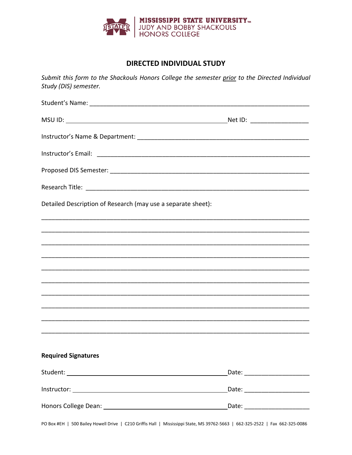

### **DIRECTED INDIVIDUAL STUDY**

Submit this form to the Shackouls Honors College the semester prior to the Directed Individual Study (DIS) semester.

| Detailed Description of Research (may use a separate sheet): |                                 |
|--------------------------------------------------------------|---------------------------------|
|                                                              |                                 |
|                                                              |                                 |
|                                                              |                                 |
|                                                              |                                 |
|                                                              |                                 |
|                                                              |                                 |
|                                                              |                                 |
|                                                              |                                 |
|                                                              |                                 |
| <b>Required Signatures</b>                                   |                                 |
|                                                              |                                 |
|                                                              | _Date: ________________________ |
|                                                              |                                 |

PO Box #EH | 500 Bailey Howell Drive | C210 Griffis Hall | Mississippi State, MS 39762-5663 | 662-325-2522 | Fax 662-325-0086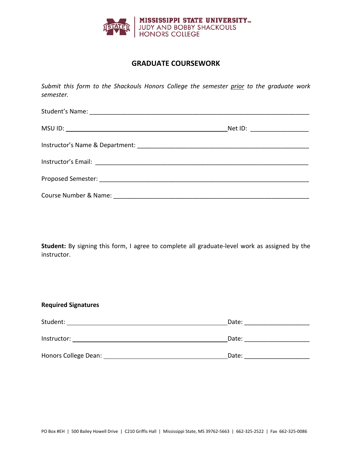

### **GRADUATE COURSEWORK**

*Submit this form to the Shackouls Honors College the semester prior to the graduate work semester.* 

**Student:** By signing this form, I agree to complete all graduate-level work as assigned by the instructor.

#### **Required Signatures**

| Student:             | Date: |
|----------------------|-------|
| Instructor:          | Date: |
| Honors College Dean: | Date: |